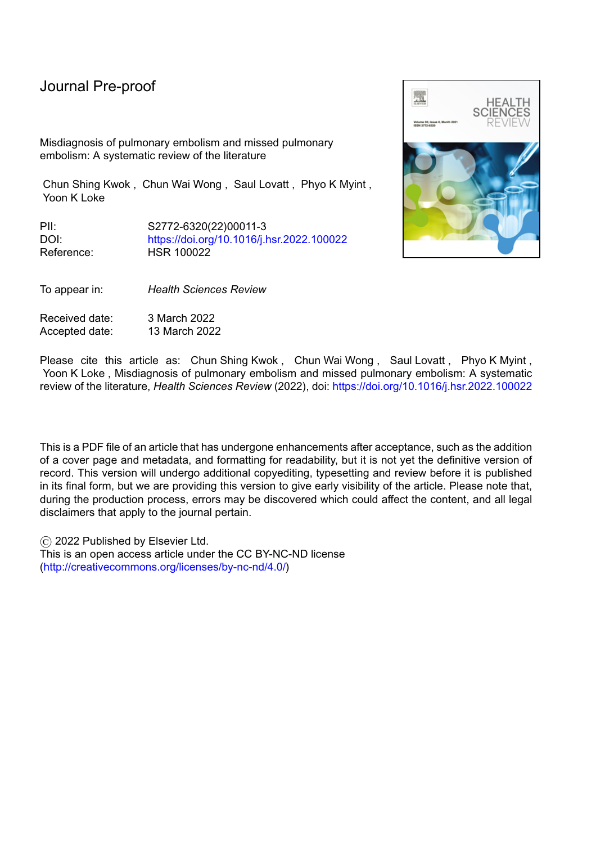Misdiagnosis of pulmonary embolism and missed pulmonary embolism: A systematic review of the literature

Chun Shing Kwok , Chun Wai Wong , Saul Lovatt , Phyo K Myint , Yoon K Loke

PII: S2772-6320(22)00011-3 DOI: <https://doi.org/10.1016/j.hsr.2022.100022> Reference: HSR 100022

To appear in: *Health Sciences Review*

Received date: 3 March 2022 Accepted date: 13 March 2022



Please cite this article as: Chun Shing Kwok, Chun Wai Wong, Saul Lovatt, Phyo K Myint, Yoon K Loke , Misdiagnosis of pulmonary embolism and missed pulmonary embolism: A systematic review of the literature, *Health Sciences Review* (2022), doi: <https://doi.org/10.1016/j.hsr.2022.100022>

This is a PDF file of an article that has undergone enhancements after acceptance, such as the addition of a cover page and metadata, and formatting for readability, but it is not yet the definitive version of record. This version will undergo additional copyediting, typesetting and review before it is published in its final form, but we are providing this version to give early visibility of the article. Please note that, during the production process, errors may be discovered which could affect the content, and all legal disclaimers that apply to the journal pertain.

© 2022 Published by Elsevier Ltd. This is an open access article under the CC BY-NC-ND license [\(http://creativecommons.org/licenses/by-nc-nd/4.0/\)](http://creativecommons.org/licenses/by-nc-nd/4.0/)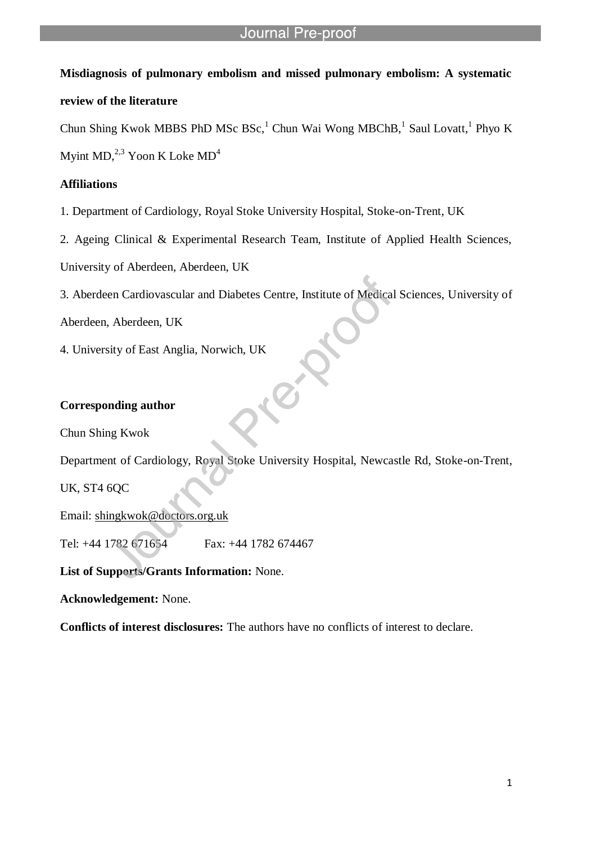## **Misdiagnosis of pulmonary embolism and missed pulmonary embolism: A systematic**

l

### **review of the literature**

Chun Shing Kwok MBBS PhD MSc BSc,<sup>1</sup> Chun Wai Wong MBChB,<sup>1</sup> Saul Lovatt,<sup>1</sup> Phyo K

Myint MD, $^{2,3}$  Yoon K Loke MD<sup>4</sup>

### **Affiliations**

1. Department of Cardiology, Royal Stoke University Hospital, Stoke-on-Trent, UK

2. Ageing Clinical & Experimental Research Team, Institute of Applied Health Sciences,

University of Aberdeen, Aberdeen, UK

3. Aberdeen Cardiovascular and Diabetes Centre, Institute of Medical Sciences, University of

Aberdeen, Aberdeen, UK

4. University of East Anglia, Norwich, UK

## **Corresponding author**

Chun Shing Kwok

Department of Cardiology, Royal Stoke University Hospital, Newcastle Rd, Stoke-on-Trent,

UK, ST4 6QC

Email: shingkwok@doctors.org.uk

Tel: +44 1782 671654 Fax: +44 1782 674467

**List of Supports/Grants Information:** None.

**Acknowledgement:** None.

**Conflicts of interest disclosures:** The authors have no conflicts of interest to declare.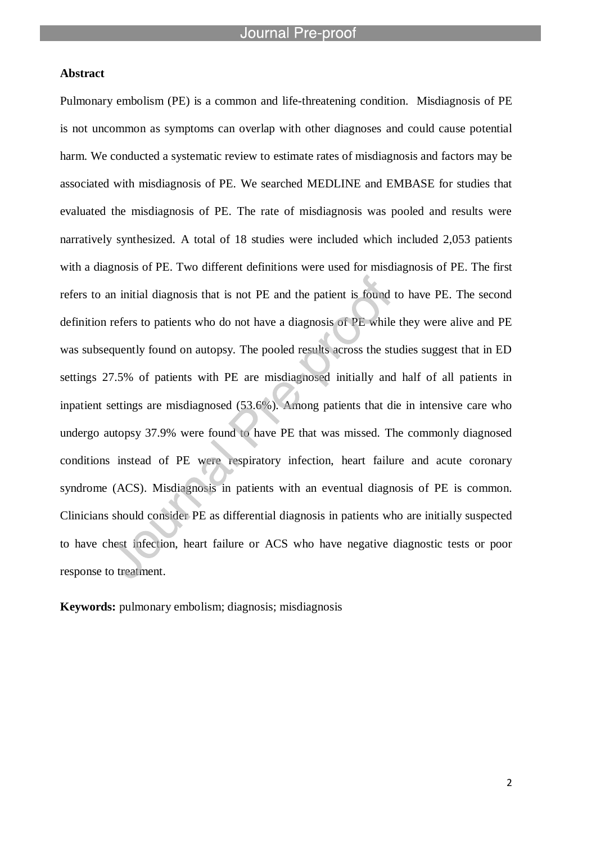l

#### **Abstract**

Pulmonary embolism (PE) is a common and life-threatening condition. Misdiagnosis of PE is not uncommon as symptoms can overlap with other diagnoses and could cause potential harm. We conducted a systematic review to estimate rates of misdiagnosis and factors may be associated with misdiagnosis of PE. We searched MEDLINE and EMBASE for studies that evaluated the misdiagnosis of PE. The rate of misdiagnosis was pooled and results were narratively synthesized. A total of 18 studies were included which included 2,053 patients with a diagnosis of PE. Two different definitions were used for misdiagnosis of PE. The first refers to an initial diagnosis that is not PE and the patient is found to have PE. The second definition refers to patients who do not have a diagnosis of PE while they were alive and PE was subsequently found on autopsy. The pooled results across the studies suggest that in ED settings 27.5% of patients with PE are misdiagnosed initially and half of all patients in inpatient settings are misdiagnosed (53.6%). Among patients that die in intensive care who undergo autopsy 37.9% were found to have PE that was missed. The commonly diagnosed conditions instead of PE were respiratory infection, heart failure and acute coronary syndrome (ACS). Misdiagnosis in patients with an eventual diagnosis of PE is common. Clinicians should consider PE as differential diagnosis in patients who are initially suspected to have chest infection, heart failure or ACS who have negative diagnostic tests or poor response to treatment.

**Keywords:** pulmonary embolism; diagnosis; misdiagnosis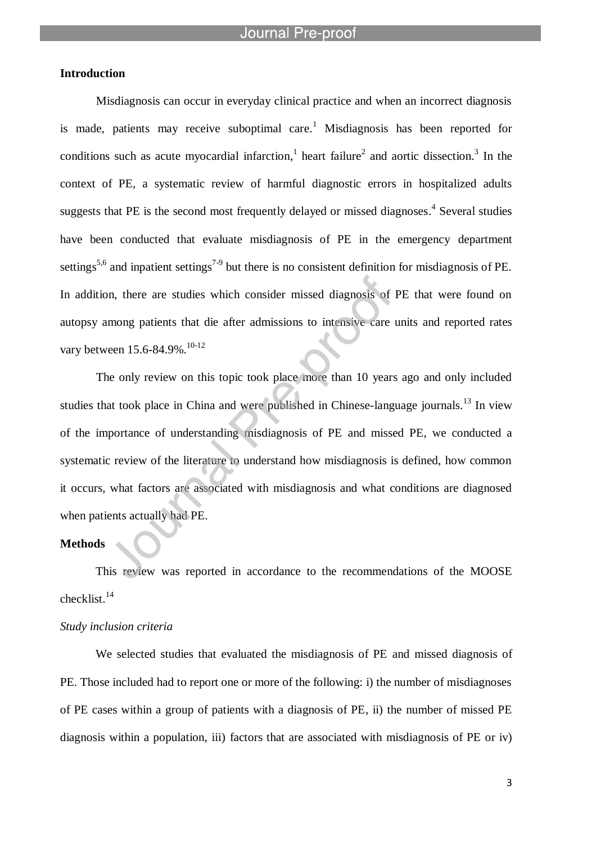l

### **Introduction**

Misdiagnosis can occur in everyday clinical practice and when an incorrect diagnosis is made, patients may receive suboptimal care.<sup>1</sup> Misdiagnosis has been reported for conditions such as acute myocardial infarction,<sup>1</sup> heart failure<sup>2</sup> and aortic dissection.<sup>3</sup> In the context of PE, a systematic review of harmful diagnostic errors in hospitalized adults suggests that PE is the second most frequently delayed or missed diagnoses.<sup>4</sup> Several studies have been conducted that evaluate misdiagnosis of PE in the emergency department settings<sup>5,6</sup> and inpatient settings<sup>7-9</sup> but there is no consistent definition for misdiagnosis of PE. In addition, there are studies which consider missed diagnosis of PE that were found on autopsy among patients that die after admissions to intensive care units and reported rates vary between 15.6-84.9%.<sup>10-12</sup>

The only review on this topic took place more than 10 years ago and only included studies that took place in China and were published in Chinese-language journals.<sup>13</sup> In view of the importance of understanding misdiagnosis of PE and missed PE, we conducted a systematic review of the literature to understand how misdiagnosis is defined, how common it occurs, what factors are associated with misdiagnosis and what conditions are diagnosed when patients actually had PE.

### **Methods**

This review was reported in accordance to the recommendations of the MOOSE checklist. 14

#### *Study inclusion criteria*

We selected studies that evaluated the misdiagnosis of PE and missed diagnosis of PE. Those included had to report one or more of the following: i) the number of misdiagnoses of PE cases within a group of patients with a diagnosis of PE, ii) the number of missed PE diagnosis within a population, iii) factors that are associated with misdiagnosis of PE or iv)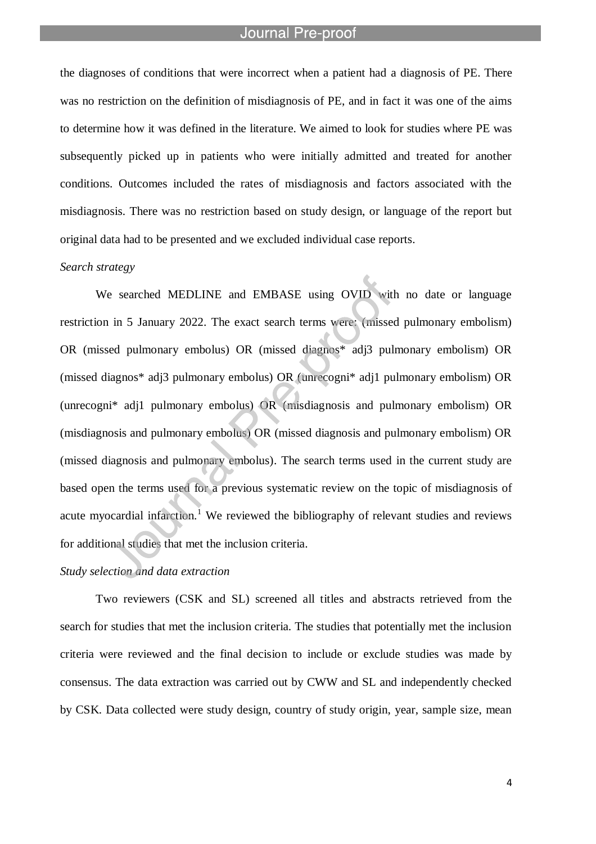l

the diagnoses of conditions that were incorrect when a patient had a diagnosis of PE. There was no restriction on the definition of misdiagnosis of PE, and in fact it was one of the aims to determine how it was defined in the literature. We aimed to look for studies where PE was subsequently picked up in patients who were initially admitted and treated for another conditions. Outcomes included the rates of misdiagnosis and factors associated with the misdiagnosis. There was no restriction based on study design, or language of the report but original data had to be presented and we excluded individual case reports.

#### *Search strategy*

We searched MEDLINE and EMBASE using OVID with no date or language restriction in 5 January 2022. The exact search terms were: (missed pulmonary embolism) OR (missed pulmonary embolus) OR (missed diagnos\* adj3 pulmonary embolism) OR (missed diagnos\* adj3 pulmonary embolus) OR (unrecogni\* adj1 pulmonary embolism) OR (unrecogni\* adj1 pulmonary embolus) OR (misdiagnosis and pulmonary embolism) OR (misdiagnosis and pulmonary embolus) OR (missed diagnosis and pulmonary embolism) OR (missed diagnosis and pulmonary embolus). The search terms used in the current study are based open the terms used for a previous systematic review on the topic of misdiagnosis of acute myocardial infarction.<sup>1</sup> We reviewed the bibliography of relevant studies and reviews for additional studies that met the inclusion criteria.

#### *Study selection and data extraction*

Two reviewers (CSK and SL) screened all titles and abstracts retrieved from the search for studies that met the inclusion criteria. The studies that potentially met the inclusion criteria were reviewed and the final decision to include or exclude studies was made by consensus. The data extraction was carried out by CWW and SL and independently checked by CSK. Data collected were study design, country of study origin, year, sample size, mean

4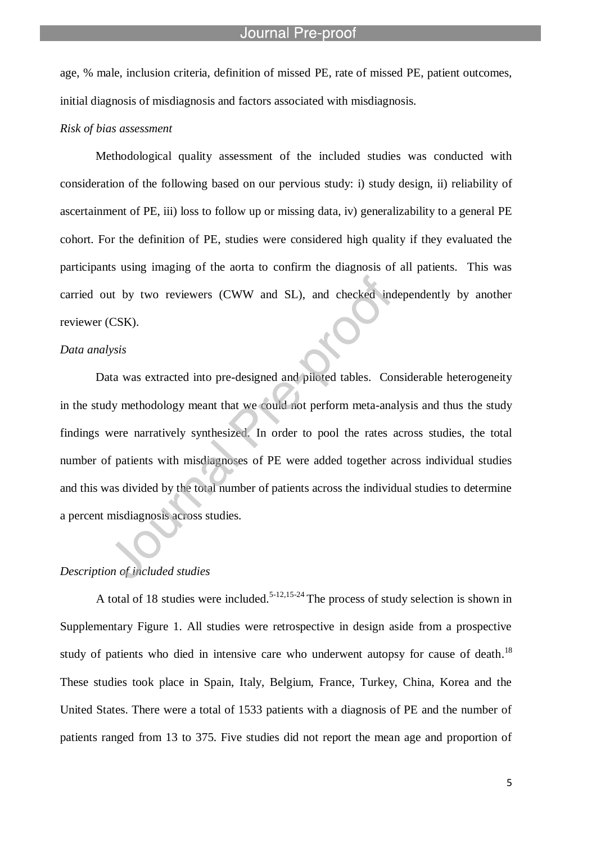age, % male, inclusion criteria, definition of missed PE, rate of missed PE, patient outcomes, initial diagnosis of misdiagnosis and factors associated with misdiagnosis.

l

### *Risk of bias assessment*

Methodological quality assessment of the included studies was conducted with consideration of the following based on our pervious study: i) study design, ii) reliability of ascertainment of PE, iii) loss to follow up or missing data, iv) generalizability to a general PE cohort. For the definition of PE, studies were considered high quality if they evaluated the participants using imaging of the aorta to confirm the diagnosis of all patients. This was carried out by two reviewers (CWW and SL), and checked independently by another reviewer (CSK).

#### *Data analysis*

Data was extracted into pre-designed and piloted tables. Considerable heterogeneity in the study methodology meant that we could not perform meta-analysis and thus the study findings were narratively synthesized. In order to pool the rates across studies, the total number of patients with misdiagnoses of PE were added together across individual studies and this was divided by the total number of patients across the individual studies to determine a percent misdiagnosis across studies.

#### *Description of included studies*

A total of 18 studies were included.<sup>5-12,15-24</sup> The process of study selection is shown in Supplementary Figure 1. All studies were retrospective in design aside from a prospective study of patients who died in intensive care who underwent autopsy for cause of death.<sup>18</sup> These studies took place in Spain, Italy, Belgium, France, Turkey, China, Korea and the United States. There were a total of 1533 patients with a diagnosis of PE and the number of patients ranged from 13 to 375. Five studies did not report the mean age and proportion of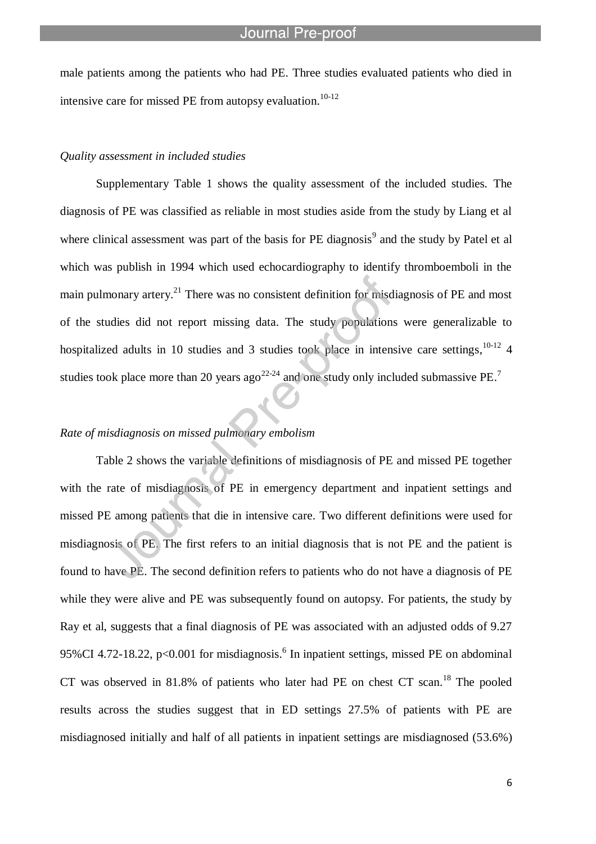male patients among the patients who had PE. Three studies evaluated patients who died in intensive care for missed PE from autopsy evaluation.<sup>10-12</sup>

#### *Quality assessment in included studies*

l

Supplementary Table 1 shows the quality assessment of the included studies. The diagnosis of PE was classified as reliable in most studies aside from the study by Liang et al where clinical assessment was part of the basis for PE diagnosis<sup>9</sup> and the study by Patel et al which was publish in 1994 which used echocardiography to identify thromboemboli in the main pulmonary artery.<sup>21</sup> There was no consistent definition for misdiagnosis of PE and most of the studies did not report missing data. The study populations were generalizable to hospitalized adults in 10 studies and 3 studies took place in intensive care settings,  $10-12$  4 studies took place more than 20 years ago<sup>22-24</sup> and one study only included submassive PE.<sup>7</sup>

### *Rate of misdiagnosis on missed pulmonary embolism*

Table 2 shows the variable definitions of misdiagnosis of PE and missed PE together with the rate of misdiagnosis of PE in emergency department and inpatient settings and missed PE among patients that die in intensive care. Two different definitions were used for misdiagnosis of PE. The first refers to an initial diagnosis that is not PE and the patient is found to have PE. The second definition refers to patients who do not have a diagnosis of PE while they were alive and PE was subsequently found on autopsy. For patients, the study by Ray et al, suggests that a final diagnosis of PE was associated with an adjusted odds of 9.27 95% CI 4.72-18.22, p<0.001 for misdiagnosis.<sup>6</sup> In inpatient settings, missed PE on abdominal CT was observed in 81.8% of patients who later had PE on chest CT scan.<sup>18</sup> The pooled results across the studies suggest that in ED settings 27.5% of patients with PE are misdiagnosed initially and half of all patients in inpatient settings are misdiagnosed (53.6%)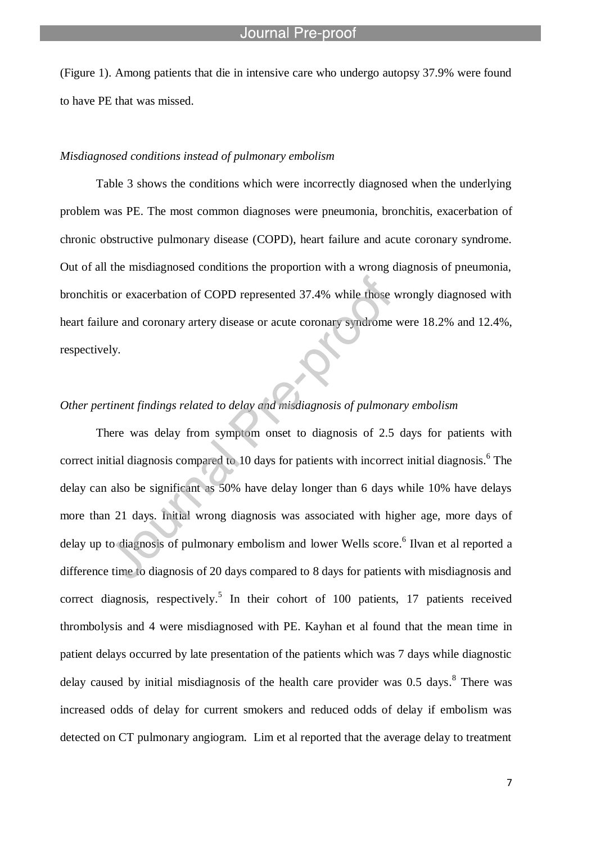(Figure 1). Among patients that die in intensive care who undergo autopsy 37.9% were found to have PE that was missed.

#### *Misdiagnosed conditions instead of pulmonary embolism*

l

Table 3 shows the conditions which were incorrectly diagnosed when the underlying problem was PE. The most common diagnoses were pneumonia, bronchitis, exacerbation of chronic obstructive pulmonary disease (COPD), heart failure and acute coronary syndrome. Out of all the misdiagnosed conditions the proportion with a wrong diagnosis of pneumonia, bronchitis or exacerbation of COPD represented 37.4% while those wrongly diagnosed with heart failure and coronary artery disease or acute coronary syndrome were 18.2% and 12.4%, respectively.

### *Other pertinent findings related to delay and misdiagnosis of pulmonary embolism*

There was delay from symptom onset to diagnosis of 2.5 days for patients with correct initial diagnosis compared to 10 days for patients with incorrect initial diagnosis.<sup>6</sup> The delay can also be significant as 50% have delay longer than 6 days while 10% have delays more than 21 days. Initial wrong diagnosis was associated with higher age, more days of delay up to diagnosis of pulmonary embolism and lower Wells score.<sup>6</sup> Ilvan et al reported a difference time to diagnosis of 20 days compared to 8 days for patients with misdiagnosis and correct diagnosis, respectively.<sup>5</sup> In their cohort of 100 patients, 17 patients received thrombolysis and 4 were misdiagnosed with PE. Kayhan et al found that the mean time in patient delays occurred by late presentation of the patients which was 7 days while diagnostic delay caused by initial misdiagnosis of the health care provider was 0.5 days.<sup>8</sup> There was increased odds of delay for current smokers and reduced odds of delay if embolism was detected on CT pulmonary angiogram. Lim et al reported that the average delay to treatment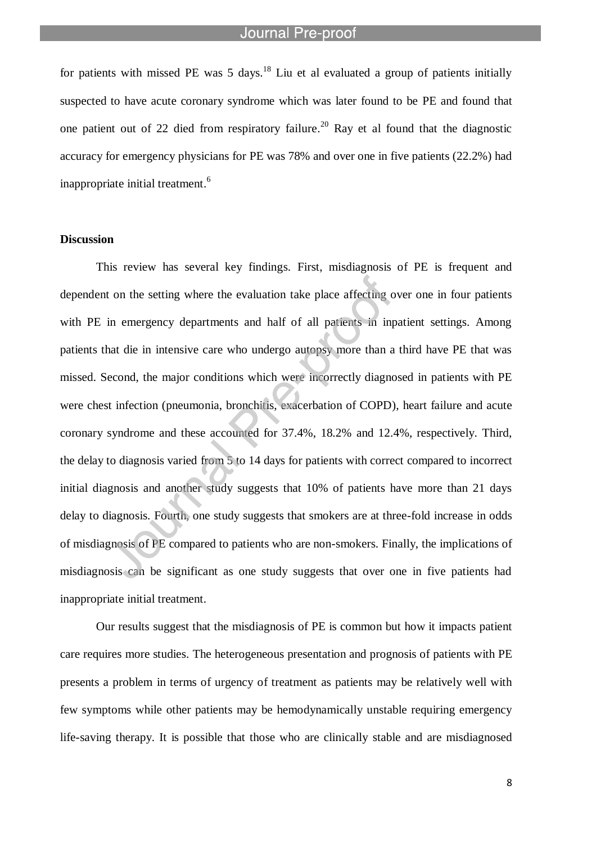l

for patients with missed PE was 5 days.<sup>18</sup> Liu et al evaluated a group of patients initially suspected to have acute coronary syndrome which was later found to be PE and found that one patient out of 22 died from respiratory failure.<sup>20</sup> Ray et al found that the diagnostic accuracy for emergency physicians for PE was 78% and over one in five patients (22.2%) had inappropriate initial treatment. 6

#### **Discussion**

This review has several key findings. First, misdiagnosis of PE is frequent and dependent on the setting where the evaluation take place affecting over one in four patients with PE in emergency departments and half of all patients in inpatient settings. Among patients that die in intensive care who undergo autopsy more than a third have PE that was missed. Second, the major conditions which were incorrectly diagnosed in patients with PE were chest infection (pneumonia, bronchitis, exacerbation of COPD), heart failure and acute coronary syndrome and these accounted for 37.4%, 18.2% and 12.4%, respectively. Third, the delay to diagnosis varied from 5 to 14 days for patients with correct compared to incorrect initial diagnosis and another study suggests that 10% of patients have more than 21 days delay to diagnosis. Fourth, one study suggests that smokers are at three-fold increase in odds of misdiagnosis of PE compared to patients who are non-smokers. Finally, the implications of misdiagnosis can be significant as one study suggests that over one in five patients had inappropriate initial treatment.

Our results suggest that the misdiagnosis of PE is common but how it impacts patient care requires more studies. The heterogeneous presentation and prognosis of patients with PE presents a problem in terms of urgency of treatment as patients may be relatively well with few symptoms while other patients may be hemodynamically unstable requiring emergency life-saving therapy. It is possible that those who are clinically stable and are misdiagnosed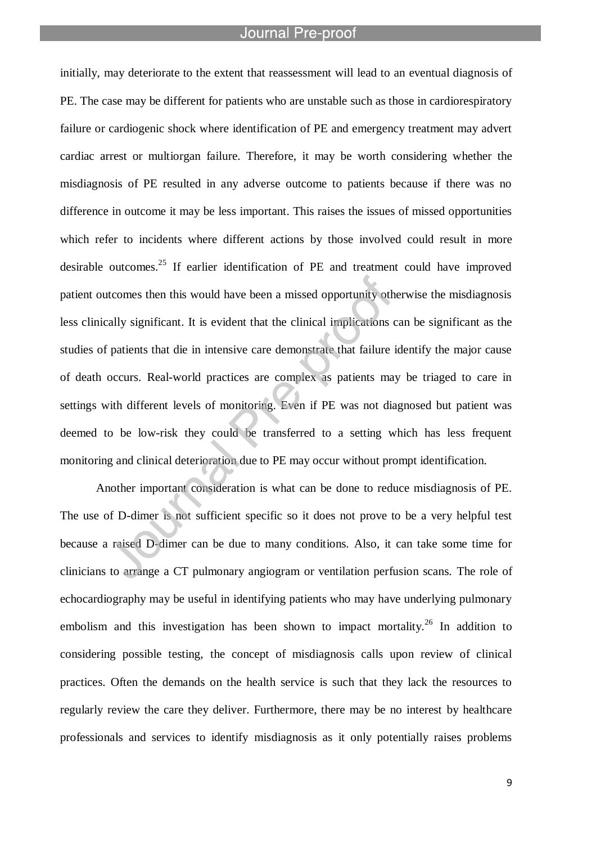l

initially, may deteriorate to the extent that reassessment will lead to an eventual diagnosis of PE. The case may be different for patients who are unstable such as those in cardiorespiratory failure or cardiogenic shock where identification of PE and emergency treatment may advert cardiac arrest or multiorgan failure. Therefore, it may be worth considering whether the misdiagnosis of PE resulted in any adverse outcome to patients because if there was no difference in outcome it may be less important. This raises the issues of missed opportunities which refer to incidents where different actions by those involved could result in more desirable outcomes. <sup>25</sup> If earlier identification of PE and treatment could have improved patient outcomes then this would have been a missed opportunity otherwise the misdiagnosis less clinically significant. It is evident that the clinical implications can be significant as the studies of patients that die in intensive care demonstrate that failure identify the major cause of death occurs. Real-world practices are complex as patients may be triaged to care in settings with different levels of monitoring. Even if PE was not diagnosed but patient was deemed to be low-risk they could be transferred to a setting which has less frequent monitoring and clinical deterioration due to PE may occur without prompt identification.

Another important consideration is what can be done to reduce misdiagnosis of PE. The use of D-dimer is not sufficient specific so it does not prove to be a very helpful test because a raised D-dimer can be due to many conditions. Also, it can take some time for clinicians to arrange a CT pulmonary angiogram or ventilation perfusion scans. The role of echocardiography may be useful in identifying patients who may have underlying pulmonary embolism and this investigation has been shown to impact mortality.<sup>26</sup> In addition to considering possible testing, the concept of misdiagnosis calls upon review of clinical practices. Often the demands on the health service is such that they lack the resources to regularly review the care they deliver. Furthermore, there may be no interest by healthcare professionals and services to identify misdiagnosis as it only potentially raises problems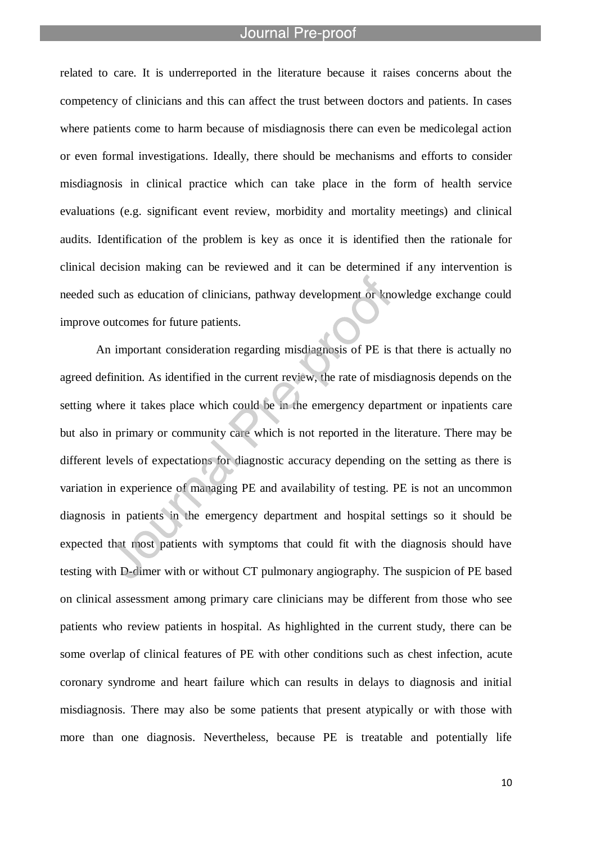l

related to care. It is underreported in the literature because it raises concerns about the competency of clinicians and this can affect the trust between doctors and patients. In cases where patients come to harm because of misdiagnosis there can even be medicolegal action or even formal investigations. Ideally, there should be mechanisms and efforts to consider misdiagnosis in clinical practice which can take place in the form of health service evaluations (e.g. significant event review, morbidity and mortality meetings) and clinical audits. Identification of the problem is key as once it is identified then the rationale for clinical decision making can be reviewed and it can be determined if any intervention is needed such as education of clinicians, pathway development or knowledge exchange could improve outcomes for future patients.

An important consideration regarding misdiagnosis of PE is that there is actually no agreed definition. As identified in the current review, the rate of misdiagnosis depends on the setting where it takes place which could be in the emergency department or inpatients care but also in primary or community care which is not reported in the literature. There may be different levels of expectations for diagnostic accuracy depending on the setting as there is variation in experience of managing PE and availability of testing. PE is not an uncommon diagnosis in patients in the emergency department and hospital settings so it should be expected that most patients with symptoms that could fit with the diagnosis should have testing with D-dimer with or without CT pulmonary angiography. The suspicion of PE based on clinical assessment among primary care clinicians may be different from those who see patients who review patients in hospital. As highlighted in the current study, there can be some overlap of clinical features of PE with other conditions such as chest infection, acute coronary syndrome and heart failure which can results in delays to diagnosis and initial misdiagnosis. There may also be some patients that present atypically or with those with more than one diagnosis. Nevertheless, because PE is treatable and potentially life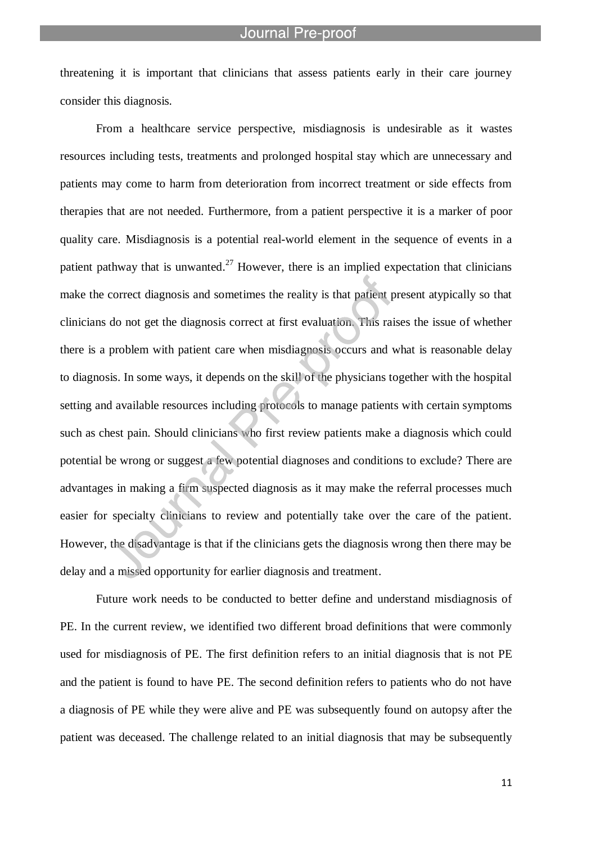threatening it is important that clinicians that assess patients early in their care journey consider this diagnosis.

l

From a healthcare service perspective, misdiagnosis is undesirable as it wastes resources including tests, treatments and prolonged hospital stay which are unnecessary and patients may come to harm from deterioration from incorrect treatment or side effects from therapies that are not needed. Furthermore, from a patient perspective it is a marker of poor quality care. Misdiagnosis is a potential real-world element in the sequence of events in a patient pathway that is unwanted.<sup>27</sup> However, there is an implied expectation that clinicians make the correct diagnosis and sometimes the reality is that patient present atypically so that clinicians do not get the diagnosis correct at first evaluation. This raises the issue of whether there is a problem with patient care when misdiagnosis occurs and what is reasonable delay to diagnosis. In some ways, it depends on the skill of the physicians together with the hospital setting and available resources including protocols to manage patients with certain symptoms such as chest pain. Should clinicians who first review patients make a diagnosis which could potential be wrong or suggest a few potential diagnoses and conditions to exclude? There are advantages in making a firm suspected diagnosis as it may make the referral processes much easier for specialty clinicians to review and potentially take over the care of the patient. However, the disadvantage is that if the clinicians gets the diagnosis wrong then there may be delay and a missed opportunity for earlier diagnosis and treatment.

Future work needs to be conducted to better define and understand misdiagnosis of PE. In the current review, we identified two different broad definitions that were commonly used for misdiagnosis of PE. The first definition refers to an initial diagnosis that is not PE and the patient is found to have PE. The second definition refers to patients who do not have a diagnosis of PE while they were alive and PE was subsequently found on autopsy after the patient was deceased. The challenge related to an initial diagnosis that may be subsequently

11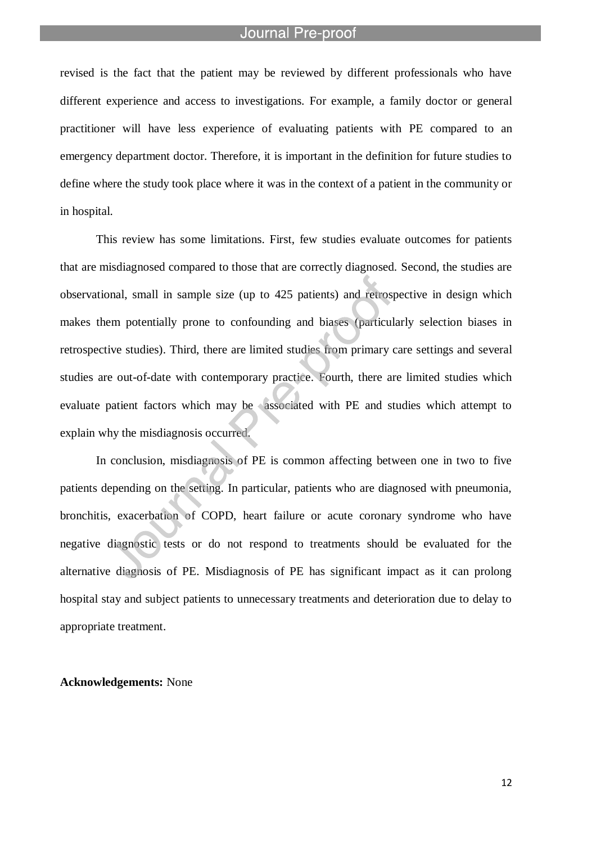l

revised is the fact that the patient may be reviewed by different professionals who have different experience and access to investigations. For example, a family doctor or general practitioner will have less experience of evaluating patients with PE compared to an emergency department doctor. Therefore, it is important in the definition for future studies to define where the study took place where it was in the context of a patient in the community or in hospital.

This review has some limitations. First, few studies evaluate outcomes for patients that are misdiagnosed compared to those that are correctly diagnosed. Second, the studies are observational, small in sample size (up to 425 patients) and retrospective in design which makes them potentially prone to confounding and biases (particularly selection biases in retrospective studies). Third, there are limited studies from primary care settings and several studies are out-of-date with contemporary practice. Fourth, there are limited studies which evaluate patient factors which may be associated with PE and studies which attempt to explain why the misdiagnosis occurred.

In conclusion, misdiagnosis of PE is common affecting between one in two to five patients depending on the setting. In particular, patients who are diagnosed with pneumonia, bronchitis, exacerbation of COPD, heart failure or acute coronary syndrome who have negative diagnostic tests or do not respond to treatments should be evaluated for the alternative diagnosis of PE. Misdiagnosis of PE has significant impact as it can prolong hospital stay and subject patients to unnecessary treatments and deterioration due to delay to appropriate treatment.

#### **Acknowledgements:** None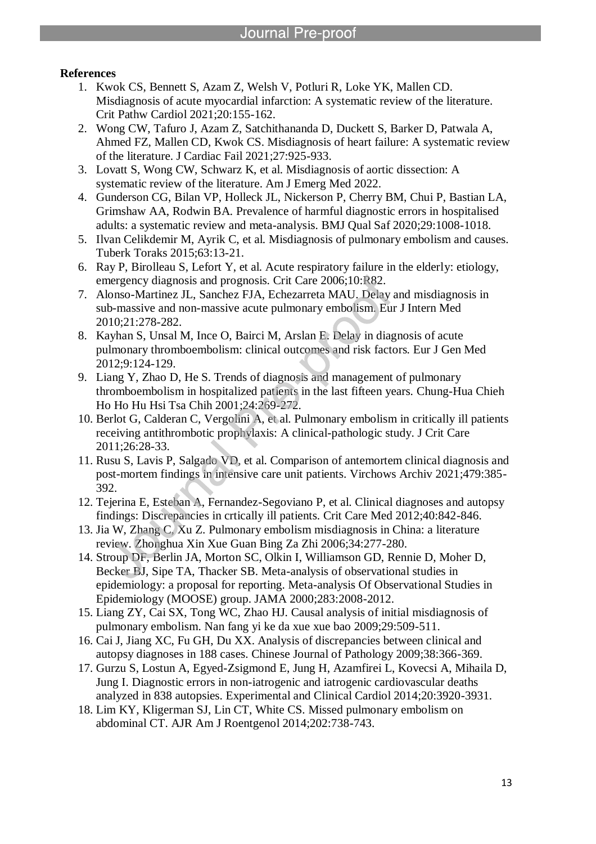### **References**

- 1. Kwok CS, Bennett S, Azam Z, Welsh V, Potluri R, Loke YK, Mallen CD. Misdiagnosis of acute myocardial infarction: A systematic review of the literature. Crit Pathw Cardiol 2021;20:155-162.
- 2. Wong CW, Tafuro J, Azam Z, Satchithananda D, Duckett S, Barker D, Patwala A, Ahmed FZ, Mallen CD, Kwok CS. Misdiagnosis of heart failure: A systematic review of the literature. J Cardiac Fail 2021;27:925-933.
- 3. Lovatt S, Wong CW, Schwarz K, et al. Misdiagnosis of aortic dissection: A systematic review of the literature. Am J Emerg Med 2022.

l

- 4. Gunderson CG, Bilan VP, Holleck JL, Nickerson P, Cherry BM, Chui P, Bastian LA, Grimshaw AA, Rodwin BA. Prevalence of harmful diagnostic errors in hospitalised adults: a systematic review and meta-analysis. BMJ Qual Saf 2020;29:1008-1018.
- 5. Ilvan Celikdemir M, Ayrik C, et al. Misdiagnosis of pulmonary embolism and causes. Tuberk Toraks 2015;63:13-21.
- 6. Ray P, Birolleau S, Lefort Y, et al. Acute respiratory failure in the elderly: etiology, emergency diagnosis and prognosis. Crit Care 2006;10:R82.
- 7. Alonso-Martinez JL, Sanchez FJA, Echezarreta MAU. Delay and misdiagnosis in sub-massive and non-massive acute pulmonary embolism. Eur J Intern Med 2010;21:278-282.
- 8. Kayhan S, Unsal M, Ince O, Bairci M, Arslan E. Delay in diagnosis of acute pulmonary thromboembolism: clinical outcomes and risk factors. Eur J Gen Med 2012;9:124-129.
- 9. Liang Y, Zhao D, He S. Trends of diagnosis and management of pulmonary thromboembolism in hospitalized patients in the last fifteen years. Chung-Hua Chieh Ho Ho Hu Hsi Tsa Chih 2001;24:269-272.
- 10. Berlot G, Calderan C, Vergolini A, et al. Pulmonary embolism in critically ill patients receiving antithrombotic prophylaxis: A clinical-pathologic study. J Crit Care 2011;26:28-33.
- 11. Rusu S, Lavis P, Salgado VD, et al. Comparison of antemortem clinical diagnosis and post-mortem findings in intensive care unit patients. Virchows Archiv 2021;479:385- 392.
- 12. Tejerina E, Esteban A, Fernandez-Segoviano P, et al. Clinical diagnoses and autopsy findings: Discrepancies in crtically ill patients. Crit Care Med 2012;40:842-846.
- 13. Jia W, Zhang C, Xu Z. Pulmonary embolism misdiagnosis in China: a literature review. Zhonghua Xin Xue Guan Bing Za Zhi 2006;34:277-280.
- 14. Stroup DF, Berlin JA, Morton SC, Olkin I, Williamson GD, Rennie D, Moher D, Becker BJ, Sipe TA, Thacker SB. Meta-analysis of observational studies in epidemiology: a proposal for reporting. Meta-analysis Of Observational Studies in Epidemiology (MOOSE) group. JAMA 2000;283:2008-2012.
- 15. Liang ZY, Cai SX, Tong WC, Zhao HJ. Causal analysis of initial misdiagnosis of pulmonary embolism. Nan fang yi ke da xue xue bao 2009;29:509-511.
- 16. Cai J, Jiang XC, Fu GH, Du XX. Analysis of discrepancies between clinical and autopsy diagnoses in 188 cases. Chinese Journal of Pathology 2009;38:366-369.
- 17. Gurzu S, Lostun A, Egyed-Zsigmond E, Jung H, Azamfirei L, Kovecsi A, Mihaila D, Jung I. Diagnostic errors in non-iatrogenic and iatrogenic cardiovascular deaths analyzed in 838 autopsies. Experimental and Clinical Cardiol 2014;20:3920-3931.
- 18. Lim KY, Kligerman SJ, Lin CT, White CS. Missed pulmonary embolism on abdominal CT. AJR Am J Roentgenol 2014;202:738-743.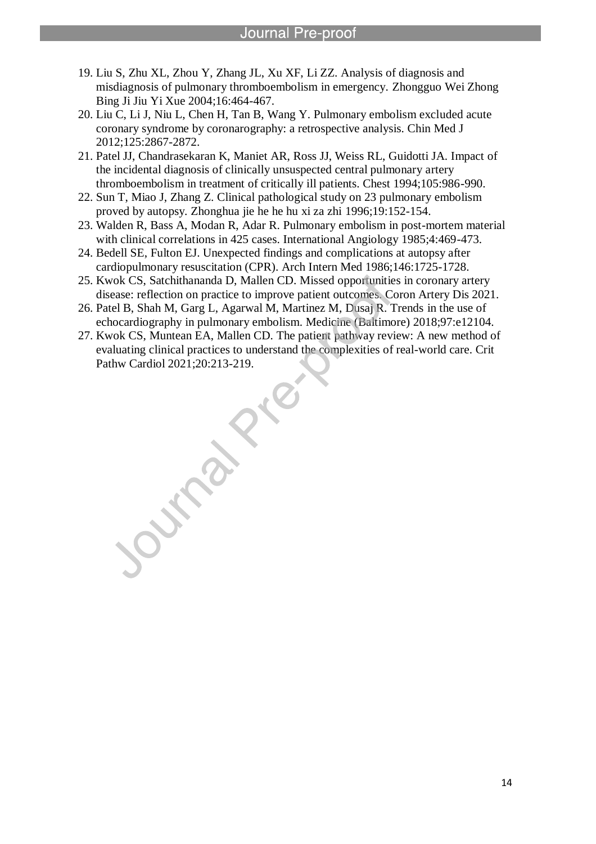19. Liu S, Zhu XL, Zhou Y, Zhang JL, Xu XF, Li ZZ. Analysis of diagnosis and misdiagnosis of pulmonary thromboembolism in emergency. Zhongguo Wei Zhong Bing Ji Jiu Yi Xue 2004;16:464-467.

l

- 20. Liu C, Li J, Niu L, Chen H, Tan B, Wang Y. Pulmonary embolism excluded acute coronary syndrome by coronarography: a retrospective analysis. Chin Med J 2012;125:2867-2872.
- 21. Patel JJ, Chandrasekaran K, Maniet AR, Ross JJ, Weiss RL, Guidotti JA. Impact of the incidental diagnosis of clinically unsuspected central pulmonary artery thromboembolism in treatment of critically ill patients. Chest 1994;105:986-990.
- 22. Sun T, Miao J, Zhang Z. Clinical pathological study on 23 pulmonary embolism proved by autopsy. Zhonghua jie he he hu xi za zhi 1996;19:152-154.
- 23. Walden R, Bass A, Modan R, Adar R. Pulmonary embolism in post-mortem material with clinical correlations in 425 cases. International Angiology 1985;4:469-473.
- 24. Bedell SE, Fulton EJ. Unexpected findings and complications at autopsy after cardiopulmonary resuscitation (CPR). Arch Intern Med 1986;146:1725-1728.
- 25. Kwok CS, Satchithananda D, Mallen CD. Missed opportunities in coronary artery disease: reflection on practice to improve patient outcomes. Coron Artery Dis 2021.
- 26. Patel B, Shah M, Garg L, Agarwal M, Martinez M, Dusaj R. Trends in the use of echocardiography in pulmonary embolism. Medicine (Baltimore) 2018;97:e12104.
- 27. Kwok CS, Muntean EA, Mallen CD. The patient pathway review: A new method of evaluating clinical practices to understand the complexities of real-world care. Crit Pathw Cardiol 2021;20:213-219.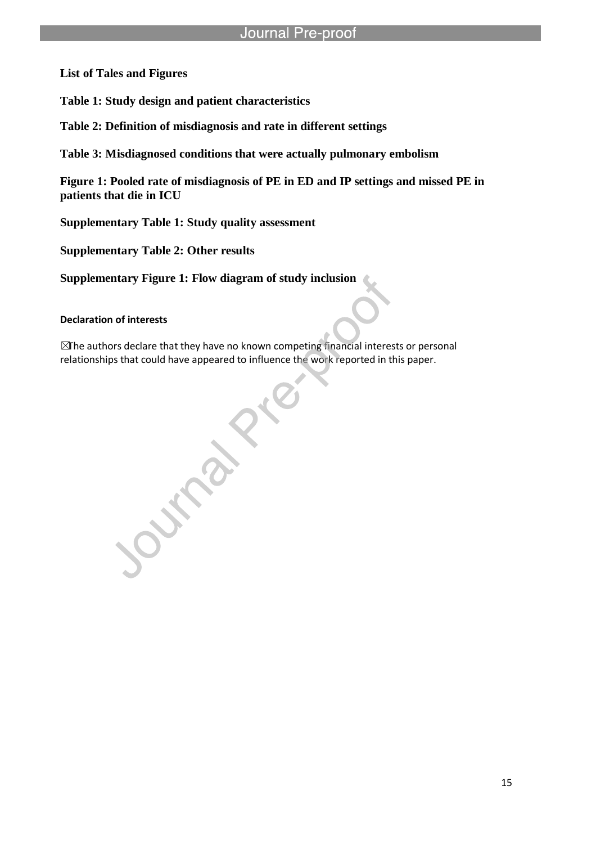**List of Tales and Figures**

**Table 1: Study design and patient characteristics**

**Table 2: Definition of misdiagnosis and rate in different settings**

l

**Table 3: Misdiagnosed conditions that were actually pulmonary embolism**

**Figure 1: Pooled rate of misdiagnosis of PE in ED and IP settings and missed PE in patients that die in ICU**

**Supplementary Table 1: Study quality assessment**

**Supplementary Table 2: Other results**

**Supplementary Figure 1: Flow diagram of study inclusion**

**Declaration of interests**

 $\mathbb Z$ The authors declare that they have no known competing financial interests or personal

relationships that could have appeared to influence the work reported in this paper.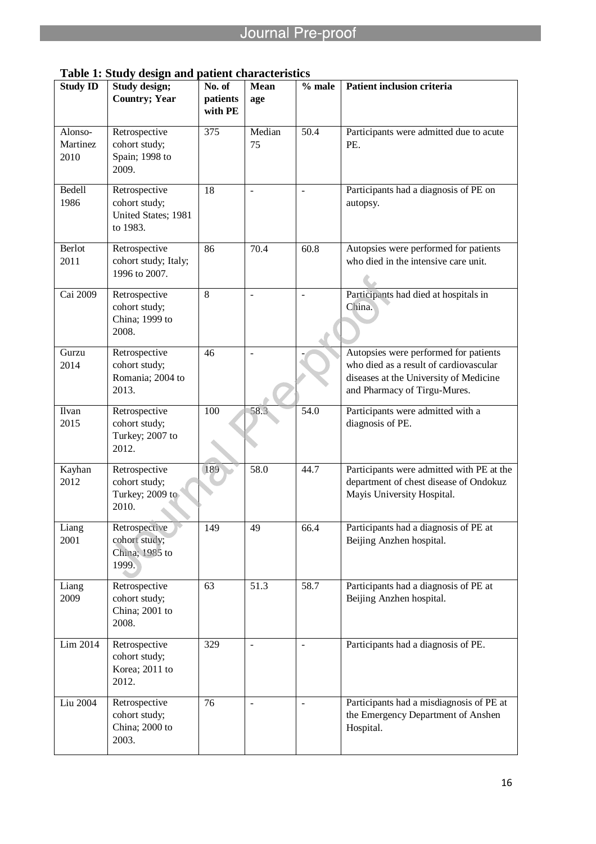| <b>Study ID</b>             | rabic 1. Diagy atsign and patient enaracteristi<br>Study design;  | No. of              | Mean           | $%$ male                 | Patient inclusion criteria                                                                                                                                |
|-----------------------------|-------------------------------------------------------------------|---------------------|----------------|--------------------------|-----------------------------------------------------------------------------------------------------------------------------------------------------------|
|                             | <b>Country; Year</b>                                              | patients<br>with PE | age            |                          |                                                                                                                                                           |
| Alonso-<br>Martinez<br>2010 | Retrospective<br>cohort study;<br>Spain; 1998 to<br>2009.         | 375                 | Median<br>75   | 50.4                     | Participants were admitted due to acute<br>PE.                                                                                                            |
| Bedell<br>1986              | Retrospective<br>cohort study;<br>United States; 1981<br>to 1983. | 18                  | $\blacksquare$ | $\overline{a}$           | Participants had a diagnosis of PE on<br>autopsy.                                                                                                         |
| Berlot<br>2011              | Retrospective<br>cohort study; Italy;<br>1996 to 2007.            | 86                  | 70.4           | 60.8                     | Autopsies were performed for patients<br>who died in the intensive care unit.                                                                             |
| Cai 2009                    | Retrospective<br>cohort study;<br>China; 1999 to<br>2008.         | $\,8\,$             | $\equiv$       | $\overline{a}$           | Participants had died at hospitals in<br>China.                                                                                                           |
| Gurzu<br>2014               | Retrospective<br>cohort study;<br>Romania; 2004 to<br>2013.       | 46                  |                |                          | Autopsies were performed for patients<br>who died as a result of cardiovascular<br>diseases at the University of Medicine<br>and Pharmacy of Tirgu-Mures. |
| Ilvan<br>2015               | Retrospective<br>cohort study;<br>Turkey; 2007 to<br>2012.        | 100                 | 58.3           | 54.0                     | Participants were admitted with a<br>diagnosis of PE.                                                                                                     |
| Kayhan<br>2012              | Retrospective<br>cohort study;<br>Turkey; 2009 to<br>2010.        | 189                 | 58.0           | 44.7                     | Participants were admitted with PE at the<br>department of chest disease of Ondokuz<br>Mayis University Hospital.                                         |
| Liang<br>2001               | Retrospective<br>cohort study;<br>China; 1985 to<br>1999.         | 149                 | 49             | 66.4                     | Participants had a diagnosis of PE at<br>Beijing Anzhen hospital.                                                                                         |
| Liang<br>2009               | Retrospective<br>cohort study;<br>China; 2001 to<br>2008.         | 63                  | 51.3           | 58.7                     | Participants had a diagnosis of PE at<br>Beijing Anzhen hospital.                                                                                         |
| Lim 2014                    | Retrospective<br>cohort study;<br>Korea; 2011 to<br>2012.         | 329                 | $\blacksquare$ | $\overline{\phantom{a}}$ | Participants had a diagnosis of PE.                                                                                                                       |
| Liu 2004                    | Retrospective<br>cohort study;<br>China; 2000 to<br>2003.         | 76                  | $\blacksquare$ | $\overline{\phantom{a}}$ | Participants had a misdiagnosis of PE at<br>the Emergency Department of Anshen<br>Hospital.                                                               |

**Table 1: Study design and patient characteristics**

l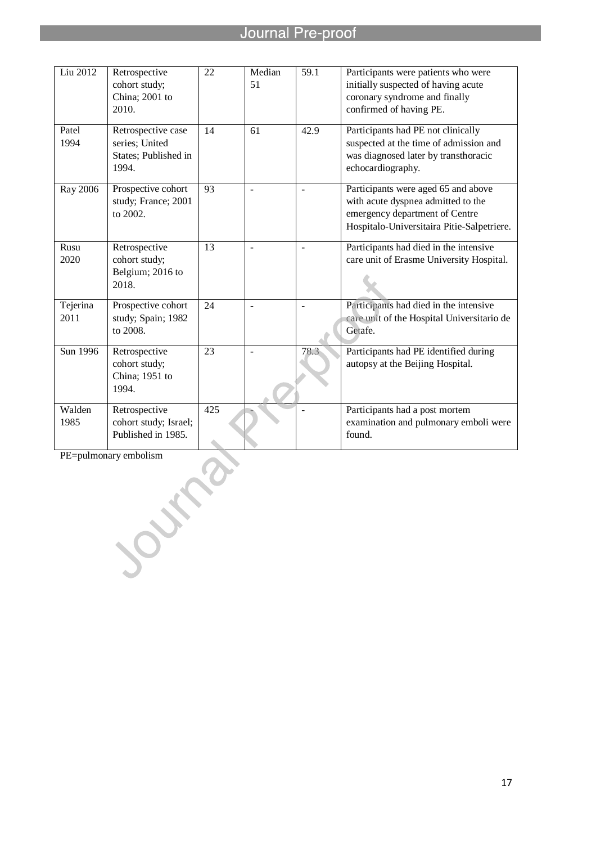l

| Liu 2012         | Retrospective<br>cohort study;<br>China; 2001 to<br>2010.             | 22  | Median<br>51 | 59.1 | Participants were patients who were<br>initially suspected of having acute<br>coronary syndrome and finally<br>confirmed of having PE.                    |
|------------------|-----------------------------------------------------------------------|-----|--------------|------|-----------------------------------------------------------------------------------------------------------------------------------------------------------|
| Patel<br>1994    | Retrospective case<br>series; United<br>States; Published in<br>1994. | 14  | 61           | 42.9 | Participants had PE not clinically<br>suspected at the time of admission and<br>was diagnosed later by transthoracic<br>echocardiography.                 |
| Ray 2006         | Prospective cohort<br>study; France; 2001<br>to 2002.                 | 93  | $\sim$       |      | Participants were aged 65 and above<br>with acute dyspnea admitted to the<br>emergency department of Centre<br>Hospitalo-Universitaira Pitie-Salpetriere. |
| Rusu<br>2020     | Retrospective<br>cohort study;<br>Belgium; 2016 to<br>2018.           | 13  |              |      | Participants had died in the intensive<br>care unit of Erasme University Hospital.                                                                        |
| Tejerina<br>2011 | Prospective cohort<br>study; Spain; 1982<br>to 2008.                  | 24  |              |      | Participants had died in the intensive<br>care unit of the Hospital Universitario de<br>Getafe.                                                           |
| Sun 1996         | Retrospective<br>cohort study;<br>China; 1951 to<br>1994.             | 23  | $\sim$       | 78.3 | Participants had PE identified during<br>autopsy at the Beijing Hospital.                                                                                 |
| Walden<br>1985   | Retrospective<br>cohort study; Israel;<br>Published in 1985.          | 425 |              |      | Participants had a post mortem<br>examination and pulmonary emboli were<br>found.                                                                         |

PE=pulmonary embolism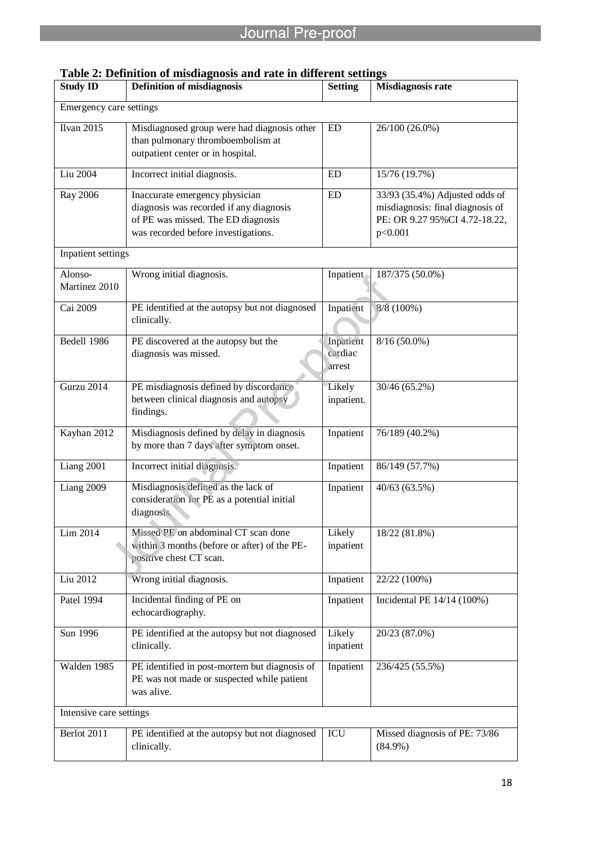| <b>Study ID</b>          | radie 2. Dennition of misulagnosis and rate in unferent settings<br><b>Definition of misdiagnosis</b>                                                  | <b>Setting</b>                 | <b>Misdiagnosis rate</b>                                                                                       |
|--------------------------|--------------------------------------------------------------------------------------------------------------------------------------------------------|--------------------------------|----------------------------------------------------------------------------------------------------------------|
| Emergency care settings  |                                                                                                                                                        |                                |                                                                                                                |
| <b>Ilvan 2015</b>        | Misdiagnosed group were had diagnosis other<br>than pulmonary thromboembolism at<br>outpatient center or in hospital.                                  | ED                             | 26/100 (26.0%)                                                                                                 |
| Liu 2004                 | Incorrect initial diagnosis.                                                                                                                           | <b>ED</b>                      | 15/76 (19.7%)                                                                                                  |
| Ray 2006                 | Inaccurate emergency physician<br>diagnosis was recorded if any diagnosis<br>of PE was missed. The ED diagnosis<br>was recorded before investigations. | <b>ED</b>                      | 33/93 (35.4%) Adjusted odds of<br>misdiagnosis: final diagnosis of<br>PE: OR 9.27 95%CI 4.72-18.22,<br>p<0.001 |
| Inpatient settings       |                                                                                                                                                        |                                |                                                                                                                |
| Alonso-<br>Martinez 2010 | Wrong initial diagnosis.                                                                                                                               | Inpatient                      | 187/375 (50.0%)                                                                                                |
| Cai 2009                 | PE identified at the autopsy but not diagnosed<br>clinically.                                                                                          | Inpatient                      | 8/8 (100%)                                                                                                     |
| Bedell 1986              | PE discovered at the autopsy but the<br>diagnosis was missed.                                                                                          | Inpatient<br>cardiac<br>arrest | $8/16(50.0\%)$                                                                                                 |
| Gurzu 2014               | PE misdiagnosis defined by discordance<br>between clinical diagnosis and autopsy<br>findings.                                                          | Likely<br>inpatient.           | 30/46 (65.2%)                                                                                                  |
| Kayhan 2012              | Misdiagnosis defined by delay in diagnosis<br>by more than 7 days after symptom onset.                                                                 | Inpatient                      | 76/189 (40.2%)                                                                                                 |
| Liang 2001               | Incorrect initial diagnosis.                                                                                                                           | Inpatient                      | 86/149 (57.7%)                                                                                                 |
| Liang 2009               | Misdiagnosis defined as the lack of<br>consideration for PE as a potential initial<br>diagnosis.                                                       | Inpatient                      | 40/63 (63.5%)                                                                                                  |
| Lim 2014                 | Missed PE on abdominal CT scan done<br>within 3 months (before or after) of the PE-<br>positive chest CT scan.                                         | Likely<br>inpatient            | 18/22 (81.8%)                                                                                                  |
| Liu 2012                 | Wrong initial diagnosis.                                                                                                                               | Inpatient                      | 22/22 (100%)                                                                                                   |
| Patel 1994               | Incidental finding of PE on<br>echocardiography.                                                                                                       | Inpatient                      | Incidental PE 14/14 (100%)                                                                                     |
| Sun 1996                 | PE identified at the autopsy but not diagnosed<br>clinically.                                                                                          | Likely<br>inpatient            | 20/23 (87.0%)                                                                                                  |
| Walden 1985              | PE identified in post-mortem but diagnosis of<br>PE was not made or suspected while patient<br>was alive.                                              | Inpatient                      | 236/425 (55.5%)                                                                                                |
| Intensive care settings  |                                                                                                                                                        |                                |                                                                                                                |
| Berlot 2011              | PE identified at the autopsy but not diagnosed<br>clinically.                                                                                          | ICU                            | Missed diagnosis of PE: 73/86<br>$(84.9\%)$                                                                    |

# **Table 2: Definition of misdiagnosis and rate in different settings**

l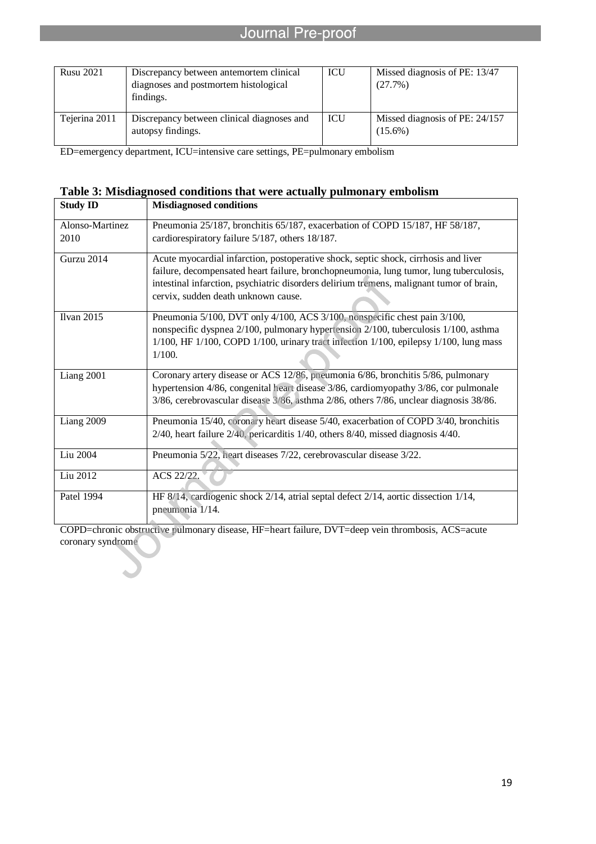| <b>Rusu 2021</b> | Discrepancy between antemortem clinical<br>diagnoses and postmortem histological<br>findings. | ICU        | Missed diagnosis of PE: 13/47<br>(27.7%)     |
|------------------|-----------------------------------------------------------------------------------------------|------------|----------------------------------------------|
| Tejerina 2011    | Discrepancy between clinical diagnoses and<br>autopsy findings.                               | <b>ICU</b> | Missed diagnosis of PE: 24/157<br>$(15.6\%)$ |

ED=emergency department, ICU=intensive care settings, PE=pulmonary embolism

l

## **Table 3: Misdiagnosed conditions that were actually pulmonary embolism**

| <b>Study ID</b>         | <b>Misdiagnosed conditions</b>                                                                                                                                                                                                                                                                                   |
|-------------------------|------------------------------------------------------------------------------------------------------------------------------------------------------------------------------------------------------------------------------------------------------------------------------------------------------------------|
| Alonso-Martinez<br>2010 | Pneumonia 25/187, bronchitis 65/187, exacerbation of COPD 15/187, HF 58/187,<br>cardiorespiratory failure 5/187, others 18/187.                                                                                                                                                                                  |
| Gurzu 2014              | Acute myocardial infarction, postoperative shock, septic shock, cirrhosis and liver<br>failure, decompensated heart failure, bronchopneumonia, lung tumor, lung tuberculosis,<br>intestinal infarction, psychiatric disorders delirium tremens, malignant tumor of brain,<br>cervix, sudden death unknown cause. |
| <b>Ilvan 2015</b>       | Pneumonia 5/100, DVT only 4/100, ACS 3/100, nonspecific chest pain 3/100,<br>nonspecific dyspnea 2/100, pulmonary hypertension 2/100, tuberculosis 1/100, asthma<br>1/100, HF 1/100, COPD 1/100, urinary tract infection 1/100, epilepsy 1/100, lung mass<br>1/100.                                              |
| Liang 2001              | Coronary artery disease or ACS 12/86, pneumonia 6/86, bronchitis 5/86, pulmonary<br>hypertension 4/86, congenital heart disease 3/86, cardiomyopathy 3/86, cor pulmonale<br>3/86, cerebrovascular disease 3/86, asthma 2/86, others 7/86, unclear diagnosis 38/86.                                               |
| Liang 2009              | Pneumonia 15/40, coronary heart disease 5/40, exacerbation of COPD 3/40, bronchitis<br>2/40, heart failure 2/40, pericarditis 1/40, others 8/40, missed diagnosis 4/40.                                                                                                                                          |
| Liu 2004                | Pneumonia 5/22, heart diseases 7/22, cerebrovascular disease 3/22.                                                                                                                                                                                                                                               |
| Liu 2012                | ACS 22/22.                                                                                                                                                                                                                                                                                                       |
| Patel 1994              | HF 8/14, cardiogenic shock 2/14, atrial septal defect 2/14, aortic dissection 1/14,<br>pneumonia 1/14.                                                                                                                                                                                                           |

COPD=chronic obstructive pulmonary disease, HF=heart failure, DVT=deep vein thrombosis, ACS=acute coronary syndrome